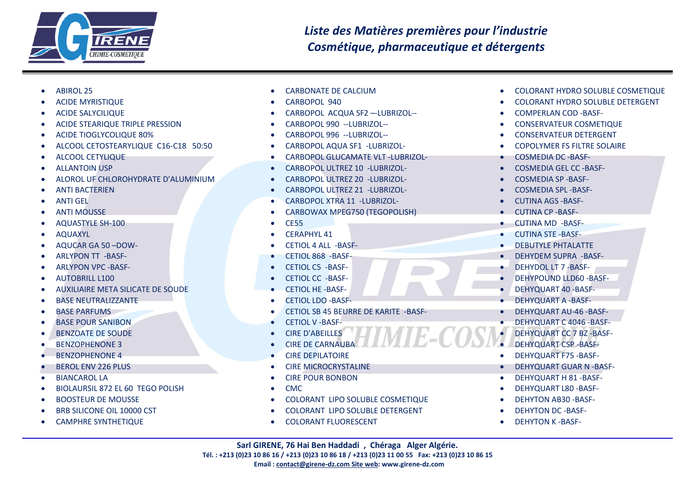

- ABIROL 25
- ACIDE MYRISTIQUE
- ACIDE SALYCILIQUE
- ACIDE STEARIQUE TRIPLE PRESSION
- ACIDE TIOGLYCOLIQUE 80%
- ALCOOL CETOSTEARYLIQUE C16-C18 50:50
- ALCOOL CETYLIQUE
- ALLANTOIN USP
- ALOROL UF CHLOROHYDRATE D'ALUMINIUM
- ANTI BACTERIEN
- ANTI GEL
- ANTI MOUSSE
- AQUASTYLE SH-100
- AQUAXYL
- AQUCAR GA 50 –DOW-
- ARLYPON TT -BASF-
- ARLYPON VPC -BASF-
- AUTOBRILL L100
- AUXILIAIRE META SILICATE DE SOUDE
- BASE NEUTRALIZZANTE
- BASE PARFUMS
- BASE POUR SANIBON
- BENZOATE DE SOUDE
- BENZOPHENONE 3
- BENZOPHENONE 4
- BEROL ENV 226 PLUS
- BIANCAROL LA
- BIOLAURSIL 872 EL 60 TEGO POLISH
- BOOSTEUR DE MOUSSE
- BRB SILICONE OIL 10000 CST
- CAMPHRE SYNTHETIQUE
- CARBONATE DE CALCIUM
- CARBOPOL 940
- CARBOPOL ACQUA SF2 –-LUBRIZOL--
- CARBOPOL 990 --LUBRIZOL--
- CARBOPOL 996 --LUBRIZOL--
- CARBOPOL AQUA SF1 -LUBRIZOL-
- CARBOPOL GLUCAMATE VLT -LUBRIZOL-
- CARBOPOL ULTREZ 10 -LUBRIZOL-
- CARBOPOL ULTREZ 20 -LUBRIZOL-
- CARBOPOL ULTREZ 21 -LUBRIZOL-
- CARBOPOL XTRA 11 -LUBRIZOL-
- CARBOWAX MPEG750 (TEGOPOLISH)
- CE55
- CERAPHYL 41
- CETIOL 4 ALL -BASF-
- CETIOL 868 -BASF-
- CETIOL C5 -BASF-
- CETIOL CC -BASF-
- CETIOL HE -BASF-
- CETIOL LDO -BASF-
- CETIOL SB 45 BEURRE DE KARITE -BASF-
- CETIOL V -BASF-
- CIRE D'ABEILLES
- CIRE DE CARNAUBA
- CIRE DEPILATOIRE
- CIRE MICROCRYSTALINE
- CIRE POUR BONBON
- CMC
- COLORANT LIPO SOLUBLE COSMETIQUE
- COLORANT LIPO SOLUBLE DETERGENT
- COLORANT FLUORESCENT
- COLORANT HYDRO SOLUBLE COSMETIQUE
- COLORANT HYDRO SOLUBLE DETERGENT
- COMPERLAN COD -BASF-
- CONSERVATEUR COSMETIQUE
- CONSERVATEUR DETERGENT
- COPOLYMER FS FILTRE SOLAIRE
- COSMEDIA DC -BASF-
- COSMEDIA GEL CC -BASF-
- COSMEDIA SP -BASF-
- COSMEDIA SPL -BASF-
- CUTINA AGS -BASF-
- CUTINA CP -BASF-
- CUTINA MD -BASF-
- CUTINA STE -BASF-
- DEBUTYLE PHTALATTE
- DEHYDEM SUPRA -BASF-
- DEHYDOL LT 7 -BASF-
- DEHYPOUND LLD60 -BASF-
- DEHYQUART 40 -BASF-
- DEHYQUART A -BASF-
- DEHYQUART AU-46 -BASF-
- DEHYQUART C 4046 -BASF-
- DEHYQUART CC 7 BZ -BASF-
- DEHYQUART CSP -BASF-
- DEHYQUART F75 -BASF-
- DEHYQUART GUAR N -BASF-
- DEHYQUART H 81 -BASF-
- DEHYQUART L80 -BASF-
- DEHYTON AB30 -BASF-
- DEHYTON DC -BASF-
- DEHYTON K -BASF-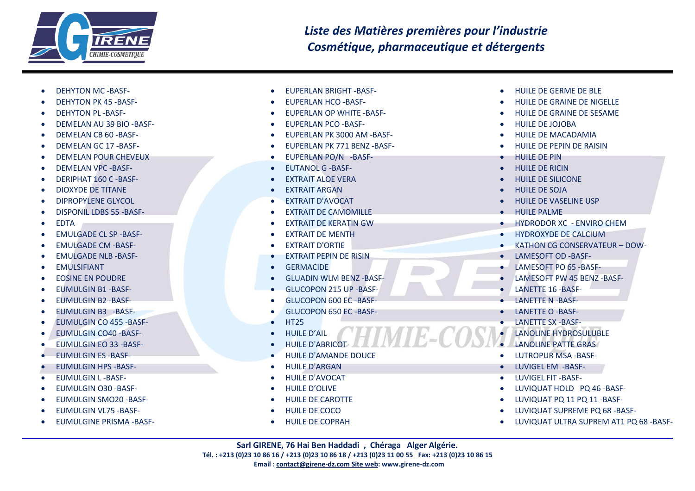

- DEHYTON MC -BASF- • DEHYTON PK 45 -BASF- • DEHYTON PL -BASF- • DEMELAN AU 39 BIO -BASF- • DEMELAN CB 60 - BASE-• DEMELAN GC 17 -BASF- • DEMELAN POUR CHEVEUX • DEMELAN VPC -BASF- • DERIPHAT 160 C -BASF- • DIOXYDE DE TITANE • DIPROPYLENE GLYCOL • DISPONIL LDBS 55 -BASF- • EDTA • EMULGADE CL SP -BASF- • EMULGADE CM -BASF- • EMULGADE NLB -BASF- • EMULSIFIANT • EOSINE EN POUDRE • EUMULGIN B1 -BASF- • EUMULGIN B2 -BASF- • EUMULGIN B3 -BASF- • EUMULGIN CO 455 -BASF- • EUMULGIN CO40 -BASF- • EUMULGIN EO 33 -BASF- • EUMULGIN ES -BASF- • EUMULGIN HPS -BASF- • EUMULGIN L -BASF- • EUMULGIN O30 -BASF- • EUMULGIN SMO20 -BASF- • FUMULGIN VL75 - BASE-**• FUMULGINE PRISMA -BASE-**
- EUPERLAN BRIGHT -BASF- • EUPERLAN HCO -BASF-
- EUPERLAN OP WHITE -BASF-
- EUPERLAN PCO -BASF-
- EUPERLAN PK 3000 AM -BASF-
- EUPERLAN PK 771 BENZ -BASF-
- EUPERLAN PO/N -BASF-
- EUTANOL G -BASF-
- EXTRAIT ALOE VERA
- EXTRAIT ARGAN
- EXTRAIT D'AVOCAT
- EXTRAIT DE CAMOMILLE
- EXTRAIT DE KERATIN GW
- EXTRAIT DE MENTH
- EXTRAIT D'ORTIE
- EXTRAIT PEPIN DE RISIN
- GERMACIDE
- GLUADIN WLM BENZ -BASF-
- GLUCOPON 215 UP -BASF-
- GLUCOPON 600 EC -BASF-
- GLUCOPON 650 EC -BASF-
- HT25
- HUILE D'AIL
- HUILE D'ABRICOT
- HUILE D'AMANDE DOUCE
- HUILE D'ARGAN
- HUILE D'AVOCAT
- HUILE D'OLIVE
- HUILE DE CAROTTE
- HUILE DE COCO
- HUILE DE COPRAH
- HUILE DE GERME DE BLE
- HUILE DE GRAINE DE NIGELLE
- HUILE DE GRAINE DE SESAME
- HUILE DE JOJOBA
- HUILE DE MACADAMIA
- HUILE DE PEPIN DE RAISIN
- HUILE DE PIN
- HUILE DE RICIN
- HUILE DE SILICONE
- HUILE DE SOJA
- HUILE DE VASELINE USP
- HUILE PALME
- HYDRODOR XC ENVIRO CHEM
- HYDROXYDE DE CALCIUM
- KATHON CG CONSERVATEUR DOW-
- LAMESOFT OD -BASF-
- LAMESOFT PO 65 -BASF-
- LAMESOFT PW 45 BENZ -BASF-
- LANETTE 16 -BASF-
- LANETTE N -BASF-
- LANETTE O -BASF-
- LANETTE SX -BASF-
	- LANOLINE HYDROSULUBLE
	- LANOLINE PATTE GRAS
- LUTROPUR MSA -BASF-
- LUVIGEL EM -BASF-
- LUVIGEL FIT -BASF-
- LUVIQUAT HOLD PQ 46 -BASF-
- LUVIQUAT PQ 11 PQ 11 -BASF-
- LUVIQUAT SUPREME PQ 68 -BASF-
- LUVIQUAT ULTRA SUPREM AT1 PQ 68 -BASF-